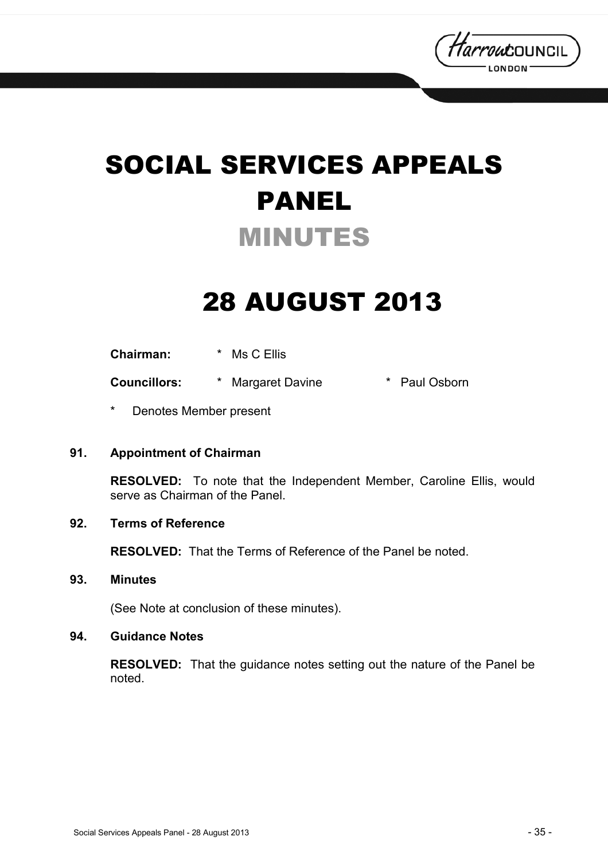

# SOCIAL SERVICES APPEALS PANEL MINUTES

## 28 AUGUST 2013

**Chairman:** \* Ms C Ellis

**Councillors:** \* Margaret Davine \* Paul Osborn

\* Denotes Member present

#### **91. Appointment of Chairman**

**RESOLVED:** To note that the Independent Member, Caroline Ellis, would serve as Chairman of the Panel.

#### **92. Terms of Reference**

**RESOLVED:** That the Terms of Reference of the Panel be noted.

#### **93. Minutes**

(See Note at conclusion of these minutes).

#### **94. Guidance Notes**

**RESOLVED:** That the guidance notes setting out the nature of the Panel be noted.